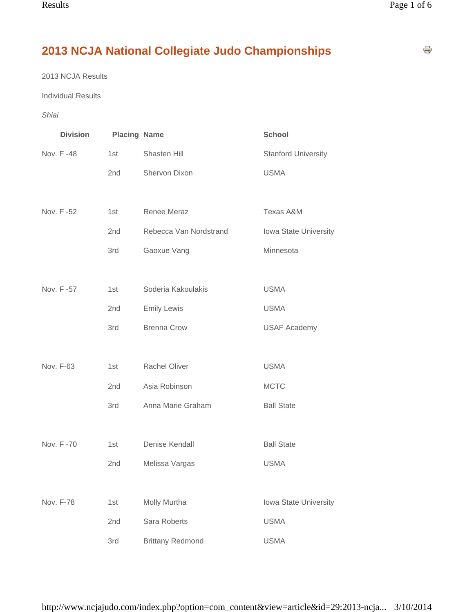# **2013 NCJA National Collegiate Judo Championships**

2013 NCJA Results

Individual Results

*Shiai*

| <b>Division</b> | <b>Placing Name</b> |                         | <b>School</b>              |
|-----------------|---------------------|-------------------------|----------------------------|
| Nov. F -48      | 1st                 | Shasten Hill            | <b>Stanford University</b> |
|                 | 2nd                 | Shervon Dixon           | <b>USMA</b>                |
|                 |                     |                         |                            |
| Nov. F -52      | 1st                 | Renee Meraz             | Texas A&M                  |
|                 | 2nd                 | Rebecca Van Nordstrand  | Iowa State University      |
|                 | 3rd                 | Gaoxue Vang             | Minnesota                  |
|                 |                     |                         |                            |
| Nov. F -57      | 1st                 | Soderia Kakoulakis      | <b>USMA</b>                |
|                 | 2 <sub>nd</sub>     | <b>Emily Lewis</b>      | <b>USMA</b>                |
|                 | 3rd                 | <b>Brenna Crow</b>      | <b>USAF Academy</b>        |
|                 |                     |                         |                            |
| Nov. F-63       | 1st                 | Rachel Oliver           | <b>USMA</b>                |
|                 | 2nd                 | Asia Robinson           | <b>MCTC</b>                |
|                 | 3rd                 | Anna Marie Graham       | <b>Ball State</b>          |
|                 |                     |                         |                            |
| Nov. F-70       | 1st                 | Denise Kendall          | <b>Ball State</b>          |
|                 | 2nd                 | Melissa Vargas          | <b>USMA</b>                |
|                 |                     |                         |                            |
| Nov. F-78       | 1st                 | Molly Murtha            | Iowa State University      |
|                 | 2nd                 | Sara Roberts            | <b>USMA</b>                |
|                 | 3rd                 | <b>Brittany Redmond</b> | <b>USMA</b>                |

÷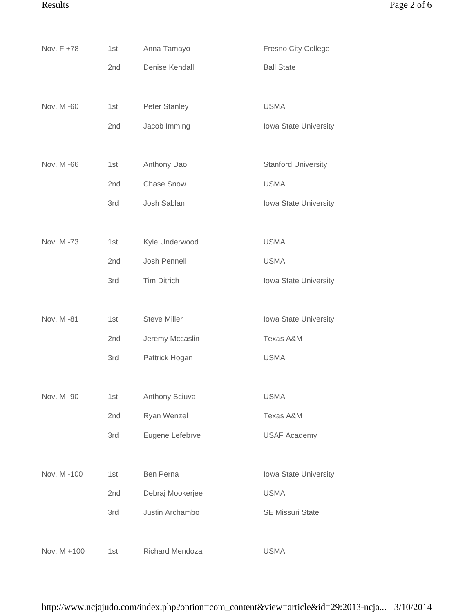| Nov. F +78  | 1st | Anna Tamayo          | Fresno City College        |
|-------------|-----|----------------------|----------------------------|
|             | 2nd | Denise Kendall       | <b>Ball State</b>          |
|             |     |                      |                            |
| Nov. M -60  | 1st | <b>Peter Stanley</b> | <b>USMA</b>                |
|             | 2nd | Jacob Imming         | Iowa State University      |
|             |     |                      |                            |
| Nov. M -66  | 1st | Anthony Dao          | <b>Stanford University</b> |
|             | 2nd | <b>Chase Snow</b>    | <b>USMA</b>                |
|             | 3rd | Josh Sablan          | Iowa State University      |
|             |     |                      |                            |
| Nov. M -73  | 1st | Kyle Underwood       | <b>USMA</b>                |
|             | 2nd | Josh Pennell         | <b>USMA</b>                |
|             | 3rd | <b>Tim Ditrich</b>   | Iowa State University      |
|             |     |                      |                            |
| Nov. M -81  | 1st | <b>Steve Miller</b>  | Iowa State University      |
|             | 2nd | Jeremy Mccaslin      | Texas A&M                  |
|             | 3rd | Pattrick Hogan       | <b>USMA</b>                |
|             |     |                      |                            |
| Nov. M -90  | 1st | Anthony Sciuva       | <b>USMA</b>                |
|             | 2nd | Ryan Wenzel          | Texas A&M                  |
|             | 3rd | Eugene Lefebrve      | <b>USAF Academy</b>        |
|             |     |                      |                            |
| Nov. M-100  | 1st | Ben Perna            | Iowa State University      |
|             | 2nd | Debraj Mookerjee     | <b>USMA</b>                |
|             | 3rd | Justin Archambo      | <b>SE Missuri State</b>    |
|             |     |                      |                            |
| Nov. M +100 | 1st | Richard Mendoza      | <b>USMA</b>                |

http://www.ncjajudo.com/index.php?option=com\_content&view=article&id=29:2013-ncja... 3/10/2014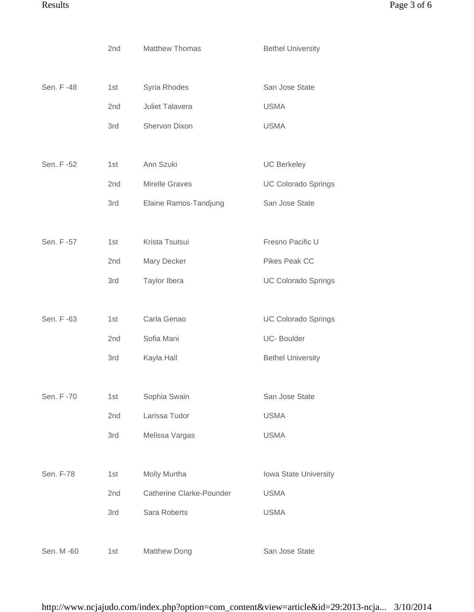|            | 2nd | <b>Matthew Thomas</b>    | <b>Bethel University</b>   |
|------------|-----|--------------------------|----------------------------|
|            |     |                          |                            |
| Sen. F -48 | 1st | Syria Rhodes             | San Jose State             |
|            | 2nd | Juliet Talavera          | <b>USMA</b>                |
|            | 3rd | Shervon Dixon            | <b>USMA</b>                |
|            |     |                          |                            |
| Sen. F -52 | 1st | Ann Szuki                | <b>UC Berkeley</b>         |
|            | 2nd | <b>Mirelle Graves</b>    | <b>UC Colorado Springs</b> |
|            | 3rd | Elaine Ramos-Tandjung    | San Jose State             |
|            |     |                          |                            |
| Sen. F -57 | 1st | Krista Tsutsui           | Fresno Pacific U           |
|            | 2nd | Mary Decker              | Pikes Peak CC              |
|            | 3rd | Taylor Ibera             | <b>UC Colorado Springs</b> |
|            |     |                          |                            |
| Sen. F -63 | 1st | Carla Genao              | <b>UC Colorado Springs</b> |
|            | 2nd | Sofia Mani               | UC-Boulder                 |
|            | 3rd | Kayla Hall               | <b>Bethel University</b>   |
|            |     |                          |                            |
| Sen. F -70 | 1st | Sophia Swain             | San Jose State             |
|            | 2nd | Larissa Tudor            | <b>USMA</b>                |
|            | 3rd | Melissa Vargas           | <b>USMA</b>                |
|            |     |                          |                            |
| Sen. F-78  | 1st | Molly Murtha             | Iowa State University      |
|            | 2nd | Catherine Clarke-Pounder | <b>USMA</b>                |
|            | 3rd | Sara Roberts             | <b>USMA</b>                |
|            |     |                          |                            |
| Sen. M -60 | 1st | <b>Matthew Dong</b>      | San Jose State             |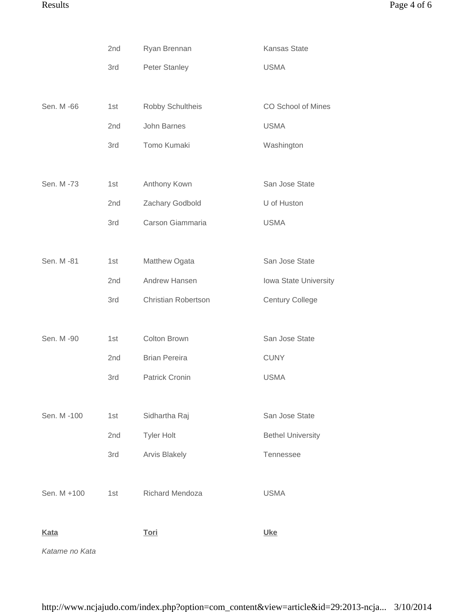|             | 2nd | Ryan Brennan               | Kansas State              |
|-------------|-----|----------------------------|---------------------------|
|             | 3rd | Peter Stanley              | <b>USMA</b>               |
|             |     |                            |                           |
| Sen. M -66  | 1st | Robby Schultheis           | <b>CO School of Mines</b> |
|             | 2nd | John Barnes                | <b>USMA</b>               |
|             | 3rd | Tomo Kumaki                | Washington                |
|             |     |                            |                           |
| Sen. M -73  | 1st | Anthony Kown               | San Jose State            |
|             | 2nd | Zachary Godbold            | U of Huston               |
|             | 3rd | Carson Giammaria           | <b>USMA</b>               |
|             |     |                            |                           |
| Sen. M -81  | 1st | Matthew Ogata              | San Jose State            |
|             | 2nd | Andrew Hansen              | Iowa State University     |
|             | 3rd | <b>Christian Robertson</b> | <b>Century College</b>    |
|             |     |                            |                           |
| Sen. M -90  | 1st | Colton Brown               | San Jose State            |
|             | 2nd | <b>Brian Pereira</b>       | <b>CUNY</b>               |
|             | 3rd | <b>Patrick Cronin</b>      | <b>USMA</b>               |
|             |     |                            |                           |
| Sen. M -100 | 1st | Sidhartha Raj              | San Jose State            |
|             | 2nd | <b>Tyler Holt</b>          | <b>Bethel University</b>  |
|             | 3rd | <b>Arvis Blakely</b>       | Tennessee                 |
|             |     |                            |                           |
| Sen. M +100 | 1st | Richard Mendoza            | <b>USMA</b>               |
|             |     |                            |                           |
| <b>Kata</b> |     | <b>Tori</b>                | <b>Uke</b>                |
|             |     |                            |                           |

*Katame no Kata*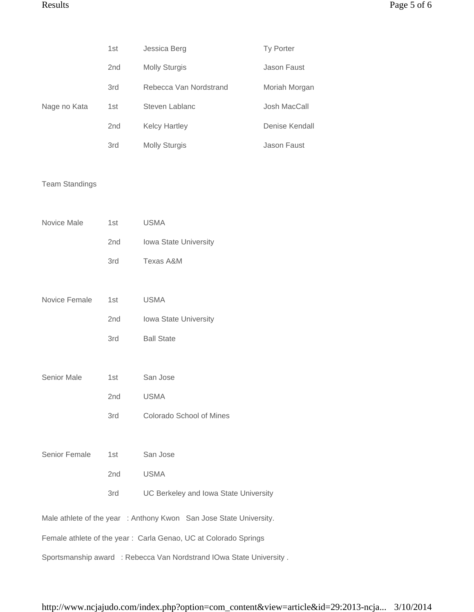|                       | 1st | Jessica Berg                                                        | Ty Porter      |
|-----------------------|-----|---------------------------------------------------------------------|----------------|
|                       | 2nd | <b>Molly Sturgis</b>                                                | Jason Faust    |
|                       | 3rd | Rebecca Van Nordstrand                                              | Moriah Morgan  |
| Nage no Kata          | 1st | Steven Lablanc                                                      | Josh MacCall   |
|                       | 2nd | <b>Kelcy Hartley</b>                                                | Denise Kendall |
|                       | 3rd | <b>Molly Sturgis</b>                                                | Jason Faust    |
|                       |     |                                                                     |                |
| <b>Team Standings</b> |     |                                                                     |                |
|                       |     |                                                                     |                |
| Novice Male           | 1st | <b>USMA</b>                                                         |                |
|                       | 2nd | Iowa State University                                               |                |
|                       | 3rd | Texas A&M                                                           |                |
|                       |     |                                                                     |                |
| Novice Female         | 1st | <b>USMA</b>                                                         |                |
|                       | 2nd | Iowa State University                                               |                |
|                       | 3rd | <b>Ball State</b>                                                   |                |
|                       |     |                                                                     |                |
| Senior Male           | 1st | San Jose                                                            |                |
|                       | 2nd | <b>USMA</b>                                                         |                |
|                       | 3rd | Colorado School of Mines                                            |                |
|                       |     |                                                                     |                |
| Senior Female         | 1st | San Jose                                                            |                |
|                       | 2nd | <b>USMA</b>                                                         |                |
|                       | 3rd | UC Berkeley and Iowa State University                               |                |
|                       |     | Male athlete of the year : Anthony Kwon San Jose State University.  |                |
|                       |     | Female athlete of the year: Carla Genao, UC at Colorado Springs     |                |
|                       |     | Sportsmanship award : Rebecca Van Nordstrand IOwa State University. |                |